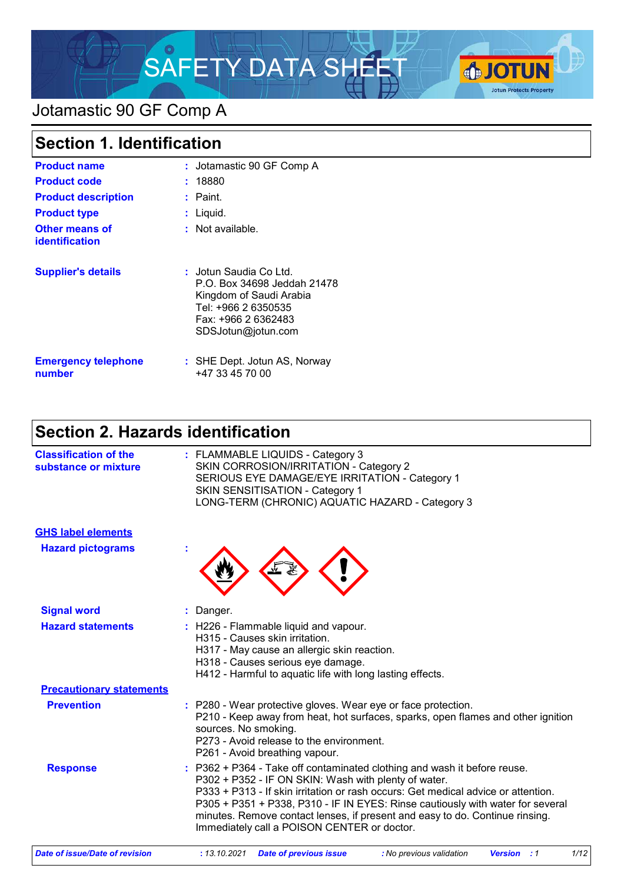

# Jotamastic 90 GF Comp A

| <b>Section 1. Identification</b>               |                                                                                                                                                      |
|------------------------------------------------|------------------------------------------------------------------------------------------------------------------------------------------------------|
| <b>Product name</b>                            | : Jotamastic 90 GF Comp A                                                                                                                            |
| <b>Product code</b>                            | : 18880                                                                                                                                              |
| <b>Product description</b>                     | $:$ Paint.                                                                                                                                           |
| <b>Product type</b>                            | $:$ Liquid.                                                                                                                                          |
| <b>Other means of</b><br><b>identification</b> | : Not available.                                                                                                                                     |
| <b>Supplier's details</b>                      | : Jotun Saudia Co Ltd.<br>P.O. Box 34698 Jeddah 21478<br>Kingdom of Saudi Arabia<br>Tel: +966 2 6350535<br>Fax: +966 2 6362483<br>SDSJotun@jotun.com |
| <b>Emergency telephone</b><br>number           | : SHE Dept. Jotun AS, Norway<br>+47 33 45 70 00                                                                                                      |

# **Section 2. Hazards identification**

| <b>Classification of the</b><br>substance or mixture | : FLAMMABLE LIQUIDS - Category 3<br>SKIN CORROSION/IRRITATION - Category 2<br>SERIOUS EYE DAMAGE/EYE IRRITATION - Category 1<br>SKIN SENSITISATION - Category 1<br>LONG-TERM (CHRONIC) AQUATIC HAZARD - Category 3                                                                                                                                                                                                                     |
|------------------------------------------------------|----------------------------------------------------------------------------------------------------------------------------------------------------------------------------------------------------------------------------------------------------------------------------------------------------------------------------------------------------------------------------------------------------------------------------------------|
| <b>GHS label elements</b>                            |                                                                                                                                                                                                                                                                                                                                                                                                                                        |
| <b>Hazard pictograms</b>                             |                                                                                                                                                                                                                                                                                                                                                                                                                                        |
| <b>Signal word</b>                                   | : Danger.                                                                                                                                                                                                                                                                                                                                                                                                                              |
| <b>Hazard statements</b>                             | : H226 - Flammable liquid and vapour.<br>H315 - Causes skin irritation.<br>H317 - May cause an allergic skin reaction.<br>H318 - Causes serious eye damage.<br>H412 - Harmful to aquatic life with long lasting effects.                                                                                                                                                                                                               |
| <b>Precautionary statements</b>                      |                                                                                                                                                                                                                                                                                                                                                                                                                                        |
| <b>Prevention</b>                                    | : P280 - Wear protective gloves. Wear eye or face protection.<br>P210 - Keep away from heat, hot surfaces, sparks, open flames and other ignition<br>sources. No smoking.<br>P273 - Avoid release to the environment.<br>P261 - Avoid breathing vapour.                                                                                                                                                                                |
| <b>Response</b>                                      | : P362 + P364 - Take off contaminated clothing and wash it before reuse.<br>P302 + P352 - IF ON SKIN: Wash with plenty of water.<br>P333 + P313 - If skin irritation or rash occurs: Get medical advice or attention.<br>P305 + P351 + P338, P310 - IF IN EYES: Rinse cautiously with water for several<br>minutes. Remove contact lenses, if present and easy to do. Continue rinsing.<br>Immediately call a POISON CENTER or doctor. |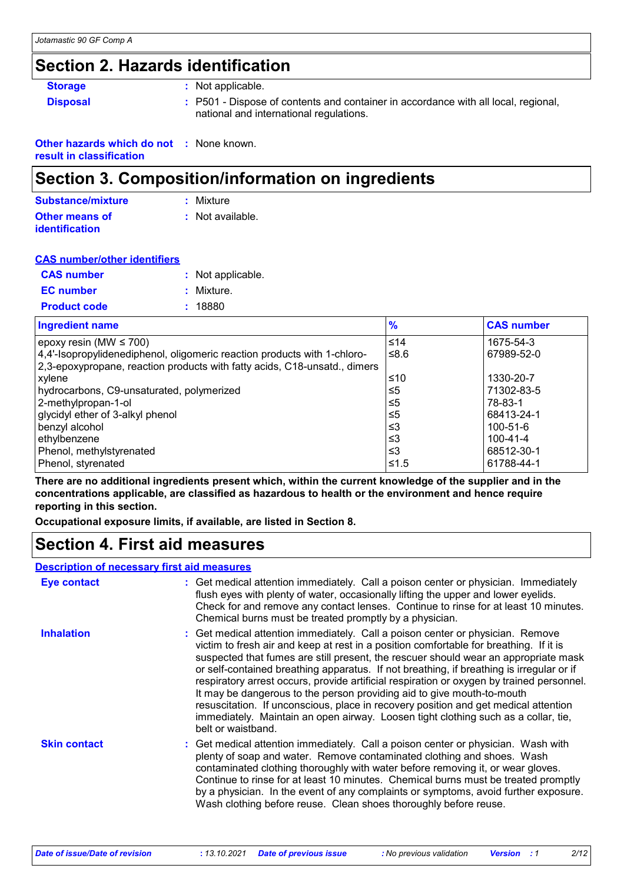# **Section 2. Hazards identification**

| <b>Storage</b>  | : Not applicable.                                                                                                             |
|-----------------|-------------------------------------------------------------------------------------------------------------------------------|
| <b>Disposal</b> | : P501 - Dispose of contents and container in accordance with all local, regional,<br>national and international regulations. |

| <b>Other hazards which do not : None known.</b> |  |
|-------------------------------------------------|--|
| result in classification                        |  |

### **Section 3. Composition/information on ingredients**

| Substance/mixture     | : Mixture        |
|-----------------------|------------------|
| <b>Other means of</b> | : Not available. |
| <b>identification</b> |                  |

| <b>CAS number/other identifiers</b> |  |                   |
|-------------------------------------|--|-------------------|
| <b>CAS number</b>                   |  | : Not applicable. |
| <b>EC</b> number                    |  | : Mixture.        |
| <b>Product code</b>                 |  | : 18880           |

| <b>Ingredient name</b>                                                    | $\frac{9}{6}$ | <b>CAS number</b> |
|---------------------------------------------------------------------------|---------------|-------------------|
| epoxy resin (MW $\leq$ 700)                                               | ≤14           | 1675-54-3         |
| 4,4'-Isopropylidenediphenol, oligomeric reaction products with 1-chloro-  | ≤8.6          | 67989-52-0        |
| 2,3-epoxypropane, reaction products with fatty acids, C18-unsatd., dimers |               |                   |
| xylene                                                                    | ≤10           | 1330-20-7         |
| hydrocarbons, C9-unsaturated, polymerized                                 | ≤5            | 71302-83-5        |
| 2-methylpropan-1-ol                                                       | ≤5            | 78-83-1           |
| glycidyl ether of 3-alkyl phenol                                          | ≤5            | 68413-24-1        |
| benzyl alcohol                                                            | ו≥ ≥          | 100-51-6          |
| ethylbenzene                                                              | צ≥            | 100-41-4          |
| Phenol, methylstyrenated                                                  | ≤3            | 68512-30-1        |
| Phenol, styrenated                                                        | ≤1.5          | 61788-44-1        |

**There are no additional ingredients present which, within the current knowledge of the supplier and in the concentrations applicable, are classified as hazardous to health or the environment and hence require reporting in this section.**

**Occupational exposure limits, if available, are listed in Section 8.**

### **Section 4. First aid measures**

#### **Description of necessary first aid measures**

| <b>Eye contact</b>  | : Get medical attention immediately. Call a poison center or physician. Immediately<br>flush eyes with plenty of water, occasionally lifting the upper and lower eyelids.<br>Check for and remove any contact lenses. Continue to rinse for at least 10 minutes.<br>Chemical burns must be treated promptly by a physician.                                                                                                                                                                                                                                                                                                                                                                                                           |
|---------------------|---------------------------------------------------------------------------------------------------------------------------------------------------------------------------------------------------------------------------------------------------------------------------------------------------------------------------------------------------------------------------------------------------------------------------------------------------------------------------------------------------------------------------------------------------------------------------------------------------------------------------------------------------------------------------------------------------------------------------------------|
| <b>Inhalation</b>   | : Get medical attention immediately. Call a poison center or physician. Remove<br>victim to fresh air and keep at rest in a position comfortable for breathing. If it is<br>suspected that fumes are still present, the rescuer should wear an appropriate mask<br>or self-contained breathing apparatus. If not breathing, if breathing is irregular or if<br>respiratory arrest occurs, provide artificial respiration or oxygen by trained personnel.<br>It may be dangerous to the person providing aid to give mouth-to-mouth<br>resuscitation. If unconscious, place in recovery position and get medical attention<br>immediately. Maintain an open airway. Loosen tight clothing such as a collar, tie,<br>belt or waistband. |
| <b>Skin contact</b> | : Get medical attention immediately. Call a poison center or physician. Wash with<br>plenty of soap and water. Remove contaminated clothing and shoes. Wash<br>contaminated clothing thoroughly with water before removing it, or wear gloves.<br>Continue to rinse for at least 10 minutes. Chemical burns must be treated promptly<br>by a physician. In the event of any complaints or symptoms, avoid further exposure.<br>Wash clothing before reuse. Clean shoes thoroughly before reuse.                                                                                                                                                                                                                                       |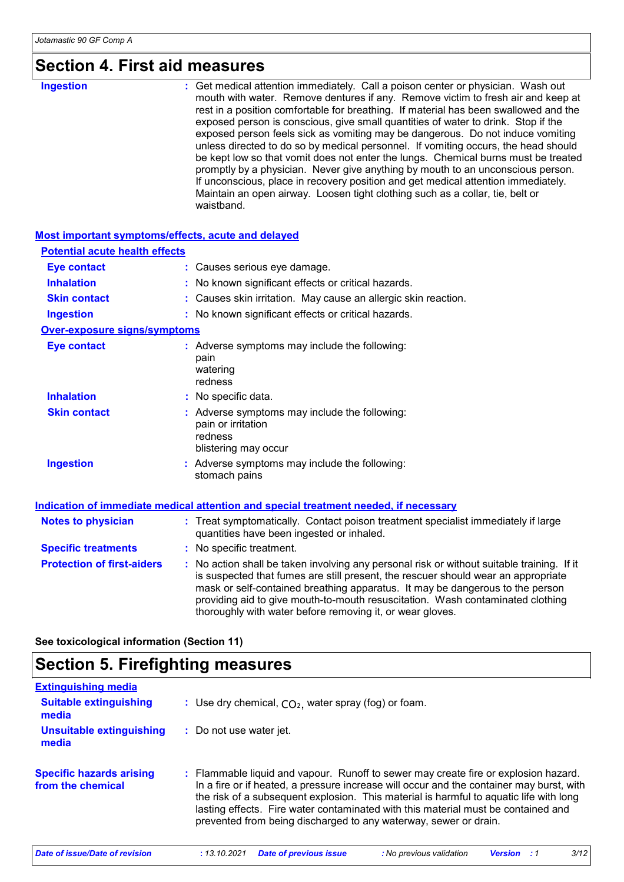# **Section 4. First aid measures**

| waistband. |
|------------|
|------------|

#### **Most important symptoms/effects, acute and delayed**

| <b>Potential acute health effects</b> |                                                                                                                                                                                                                                                                                                                                                                                                                 |
|---------------------------------------|-----------------------------------------------------------------------------------------------------------------------------------------------------------------------------------------------------------------------------------------------------------------------------------------------------------------------------------------------------------------------------------------------------------------|
| <b>Eye contact</b>                    | : Causes serious eye damage.                                                                                                                                                                                                                                                                                                                                                                                    |
| <b>Inhalation</b>                     | : No known significant effects or critical hazards.                                                                                                                                                                                                                                                                                                                                                             |
| <b>Skin contact</b>                   | : Causes skin irritation. May cause an allergic skin reaction.                                                                                                                                                                                                                                                                                                                                                  |
| <b>Ingestion</b>                      | : No known significant effects or critical hazards.                                                                                                                                                                                                                                                                                                                                                             |
| Over-exposure signs/symptoms          |                                                                                                                                                                                                                                                                                                                                                                                                                 |
| <b>Eye contact</b>                    | : Adverse symptoms may include the following:<br>pain<br>watering<br>redness                                                                                                                                                                                                                                                                                                                                    |
| <b>Inhalation</b>                     | : No specific data.                                                                                                                                                                                                                                                                                                                                                                                             |
| <b>Skin contact</b>                   | : Adverse symptoms may include the following:<br>pain or irritation<br>redness<br>blistering may occur                                                                                                                                                                                                                                                                                                          |
| <b>Ingestion</b>                      | : Adverse symptoms may include the following:<br>stomach pains                                                                                                                                                                                                                                                                                                                                                  |
|                                       | <b>Indication of immediate medical attention and special treatment needed, if necessary</b>                                                                                                                                                                                                                                                                                                                     |
| <b>Notes to physician</b>             | : Treat symptomatically. Contact poison treatment specialist immediately if large<br>quantities have been ingested or inhaled.                                                                                                                                                                                                                                                                                  |
| <b>Specific treatments</b>            | : No specific treatment.                                                                                                                                                                                                                                                                                                                                                                                        |
| <b>Protection of first-aiders</b>     | : No action shall be taken involving any personal risk or without suitable training. If it<br>is suspected that fumes are still present, the rescuer should wear an appropriate<br>mask or self-contained breathing apparatus. It may be dangerous to the person<br>providing aid to give mouth-to-mouth resuscitation. Wash contaminated clothing<br>thoroughly with water before removing it, or wear gloves. |

**See toxicological information (Section 11)**

# **Section 5. Firefighting measures**

| <b>Extinguishing media</b>                           |                                                                                                                                                                                                                                                                                                                                                                                                                                    |
|------------------------------------------------------|------------------------------------------------------------------------------------------------------------------------------------------------------------------------------------------------------------------------------------------------------------------------------------------------------------------------------------------------------------------------------------------------------------------------------------|
| <b>Suitable extinguishing</b><br>media               | : Use dry chemical, $CO2$ , water spray (fog) or foam.                                                                                                                                                                                                                                                                                                                                                                             |
| <b>Unsuitable extinguishing</b><br>media             | : Do not use water jet.                                                                                                                                                                                                                                                                                                                                                                                                            |
| <b>Specific hazards arising</b><br>from the chemical | : Flammable liquid and vapour. Runoff to sewer may create fire or explosion hazard.<br>In a fire or if heated, a pressure increase will occur and the container may burst, with<br>the risk of a subsequent explosion. This material is harmful to aquatic life with long<br>lasting effects. Fire water contaminated with this material must be contained and<br>prevented from being discharged to any waterway, sewer or drain. |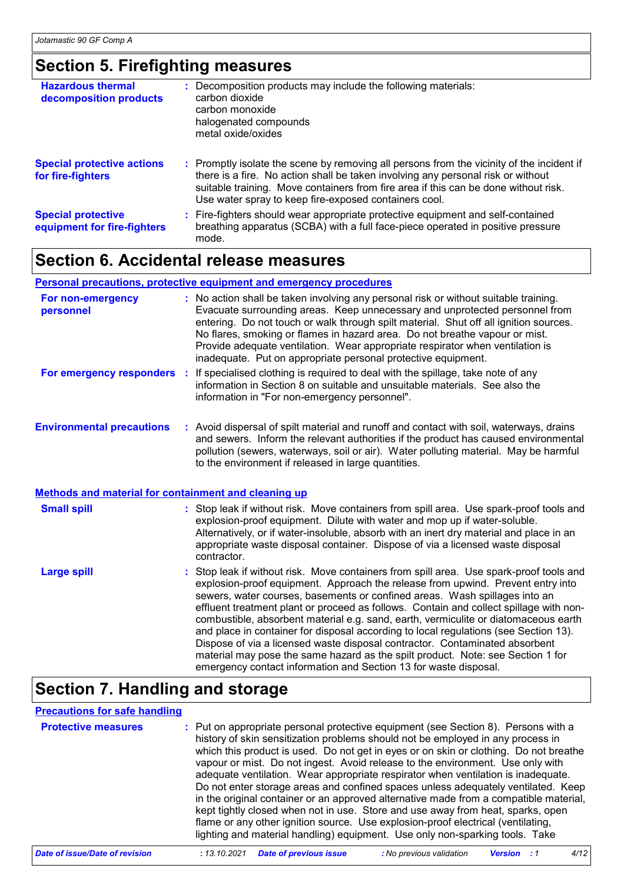### **Section 5. Firefighting measures**

| <b>Hazardous thermal</b><br>decomposition products       | : Decomposition products may include the following materials:<br>carbon dioxide<br>carbon monoxide<br>halogenated compounds<br>metal oxide/oxides                                                                                                                                                                             |
|----------------------------------------------------------|-------------------------------------------------------------------------------------------------------------------------------------------------------------------------------------------------------------------------------------------------------------------------------------------------------------------------------|
| <b>Special protective actions</b><br>for fire-fighters   | : Promptly isolate the scene by removing all persons from the vicinity of the incident if<br>there is a fire. No action shall be taken involving any personal risk or without<br>suitable training. Move containers from fire area if this can be done without risk.<br>Use water spray to keep fire-exposed containers cool. |
| <b>Special protective</b><br>equipment for fire-fighters | : Fire-fighters should wear appropriate protective equipment and self-contained<br>breathing apparatus (SCBA) with a full face-piece operated in positive pressure<br>mode.                                                                                                                                                   |

### **Section 6. Accidental release measures**

#### **Personal precautions, protective equipment and emergency procedures**

| For non-emergency<br>personnel                              | : No action shall be taken involving any personal risk or without suitable training.<br>Evacuate surrounding areas. Keep unnecessary and unprotected personnel from<br>entering. Do not touch or walk through spilt material. Shut off all ignition sources.<br>No flares, smoking or flames in hazard area. Do not breathe vapour or mist.<br>Provide adequate ventilation. Wear appropriate respirator when ventilation is<br>inadequate. Put on appropriate personal protective equipment. |
|-------------------------------------------------------------|-----------------------------------------------------------------------------------------------------------------------------------------------------------------------------------------------------------------------------------------------------------------------------------------------------------------------------------------------------------------------------------------------------------------------------------------------------------------------------------------------|
|                                                             | For emergency responders : If specialised clothing is required to deal with the spillage, take note of any<br>information in Section 8 on suitable and unsuitable materials. See also the<br>information in "For non-emergency personnel".                                                                                                                                                                                                                                                    |
| <b>Environmental precautions</b>                            | : Avoid dispersal of spilt material and runoff and contact with soil, waterways, drains<br>and sewers. Inform the relevant authorities if the product has caused environmental<br>pollution (sewers, waterways, soil or air). Water polluting material. May be harmful<br>to the environment if released in large quantities.                                                                                                                                                                 |
| <b>Methods and material for containment and cleaning up</b> |                                                                                                                                                                                                                                                                                                                                                                                                                                                                                               |
| <b>Small spill</b>                                          | : Stop leak if without risk. Move containers from spill area. Use spark-proof tools and<br>explosion-proof equipment. Dilute with water and mop up if water-soluble.<br>Alternatively, or if water-insoluble, absorb with an inert dry material and place in an<br>appropriate waste disposal container. Dispose of via a licensed waste disposal<br>contractor.                                                                                                                              |
| <b>Large spill</b>                                          | : Stop leak if without risk. Move containers from spill area. Use spark-proof tools and<br>explosion-proof equipment Approach the release from unwind Prevent entry into                                                                                                                                                                                                                                                                                                                      |

explosion-proof equipment. Approach the release from upwind. Prevent entry into sewers, water courses, basements or confined areas. Wash spillages into an effluent treatment plant or proceed as follows. Contain and collect spillage with noncombustible, absorbent material e.g. sand, earth, vermiculite or diatomaceous earth and place in container for disposal according to local regulations (see Section 13). Dispose of via a licensed waste disposal contractor. Contaminated absorbent material may pose the same hazard as the spilt product. Note: see Section 1 for emergency contact information and Section 13 for waste disposal.

### **Section 7. Handling and storage**

#### **Precautions for safe handling**

| <b>Protective measures</b> | : Put on appropriate personal protective equipment (see Section 8). Persons with a<br>history of skin sensitization problems should not be employed in any process in<br>which this product is used. Do not get in eyes or on skin or clothing. Do not breathe<br>vapour or mist. Do not ingest. Avoid release to the environment. Use only with<br>adequate ventilation. Wear appropriate respirator when ventilation is inadequate.<br>Do not enter storage areas and confined spaces unless adequately ventilated. Keep<br>in the original container or an approved alternative made from a compatible material,<br>kept tightly closed when not in use. Store and use away from heat, sparks, open<br>flame or any other ignition source. Use explosion-proof electrical (ventilating,<br>lighting and material handling) equipment. Use only non-sparking tools. Take |
|----------------------------|----------------------------------------------------------------------------------------------------------------------------------------------------------------------------------------------------------------------------------------------------------------------------------------------------------------------------------------------------------------------------------------------------------------------------------------------------------------------------------------------------------------------------------------------------------------------------------------------------------------------------------------------------------------------------------------------------------------------------------------------------------------------------------------------------------------------------------------------------------------------------|
|----------------------------|----------------------------------------------------------------------------------------------------------------------------------------------------------------------------------------------------------------------------------------------------------------------------------------------------------------------------------------------------------------------------------------------------------------------------------------------------------------------------------------------------------------------------------------------------------------------------------------------------------------------------------------------------------------------------------------------------------------------------------------------------------------------------------------------------------------------------------------------------------------------------|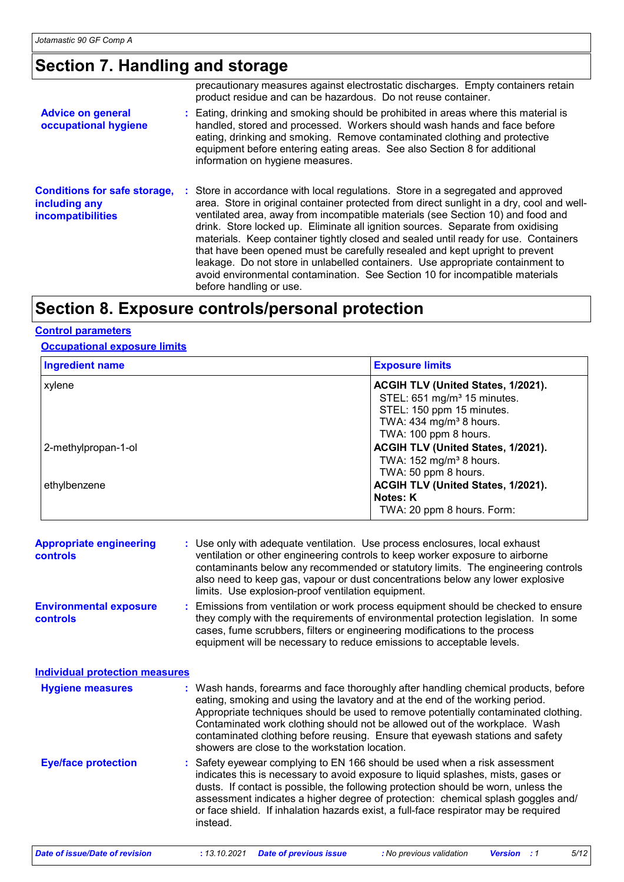### **Section 7. Handling and storage**

|                                                                                  | precautionary measures against electrostatic discharges. Empty containers retain<br>product residue and can be hazardous. Do not reuse container.                                                                                                                                                                                                                                                                                                                                                                                                                                                                                                                                                                       |
|----------------------------------------------------------------------------------|-------------------------------------------------------------------------------------------------------------------------------------------------------------------------------------------------------------------------------------------------------------------------------------------------------------------------------------------------------------------------------------------------------------------------------------------------------------------------------------------------------------------------------------------------------------------------------------------------------------------------------------------------------------------------------------------------------------------------|
| <b>Advice on general</b><br>occupational hygiene                                 | : Eating, drinking and smoking should be prohibited in areas where this material is<br>handled, stored and processed. Workers should wash hands and face before<br>eating, drinking and smoking. Remove contaminated clothing and protective<br>equipment before entering eating areas. See also Section 8 for additional<br>information on hygiene measures.                                                                                                                                                                                                                                                                                                                                                           |
| <b>Conditions for safe storage,</b><br>including any<br><b>incompatibilities</b> | : Store in accordance with local regulations. Store in a segregated and approved<br>area. Store in original container protected from direct sunlight in a dry, cool and well-<br>ventilated area, away from incompatible materials (see Section 10) and food and<br>drink. Store locked up. Eliminate all ignition sources. Separate from oxidising<br>materials. Keep container tightly closed and sealed until ready for use. Containers<br>that have been opened must be carefully resealed and kept upright to prevent<br>leakage. Do not store in unlabelled containers. Use appropriate containment to<br>avoid environmental contamination. See Section 10 for incompatible materials<br>before handling or use. |

### **Section 8. Exposure controls/personal protection**

#### **Control parameters**

#### **Occupational exposure limits**

| <b>Ingredient name</b> | <b>Exposure limits</b>                  |  |  |
|------------------------|-----------------------------------------|--|--|
| xylene                 | ACGIH TLV (United States, 1/2021).      |  |  |
|                        | STEL: 651 mg/m <sup>3</sup> 15 minutes. |  |  |
|                        | STEL: 150 ppm 15 minutes.               |  |  |
|                        | TWA: $434$ mg/m <sup>3</sup> 8 hours.   |  |  |
|                        | TWA: 100 ppm 8 hours.                   |  |  |
| 2-methylpropan-1-ol    | ACGIH TLV (United States, 1/2021).      |  |  |
|                        | TWA: $152 \text{ mg/m}^3$ 8 hours.      |  |  |
|                        | TWA: 50 ppm 8 hours.                    |  |  |
| ethylbenzene           | ACGIH TLV (United States, 1/2021).      |  |  |
|                        | Notes: K                                |  |  |
|                        | TWA: 20 ppm 8 hours. Form:              |  |  |

| <b>Appropriate engineering</b><br><b>controls</b> | : Use only with adequate ventilation. Use process enclosures, local exhaust<br>ventilation or other engineering controls to keep worker exposure to airborne<br>contaminants below any recommended or statutory limits. The engineering controls<br>also need to keep gas, vapour or dust concentrations below any lower explosive<br>limits. Use explosion-proof ventilation equipment. |
|---------------------------------------------------|------------------------------------------------------------------------------------------------------------------------------------------------------------------------------------------------------------------------------------------------------------------------------------------------------------------------------------------------------------------------------------------|
| <b>Environmental exposure</b><br><b>controls</b>  | : Emissions from ventilation or work process equipment should be checked to ensure<br>they comply with the requirements of environmental protection legislation. In some<br>cases, fume scrubbers, filters or engineering modifications to the process                                                                                                                                   |

| <b>Individual protection measures</b> |                                  |
|---------------------------------------|----------------------------------|
| <b>Hygiene measures</b>               | : Wash h<br>eating, s<br>Appropr |

Safety eyewear complying to EN 166 should be used when a risk assessment **Eye/face protection :** Wash hands, forearms and face thoroughly after handling chemical products, before **Hygiene measures :** eating, smoking and using the lavatory and at the end of the working period. Appropriate techniques should be used to remove potentially contaminated clothing. Contaminated work clothing should not be allowed out of the workplace. Wash contaminated clothing before reusing. Ensure that eyewash stations and safety showers are close to the workstation location.

equipment will be necessary to reduce emissions to acceptable levels.

indicates this is necessary to avoid exposure to liquid splashes, mists, gases or dusts. If contact is possible, the following protection should be worn, unless the assessment indicates a higher degree of protection: chemical splash goggles and/ or face shield. If inhalation hazards exist, a full-face respirator may be required instead.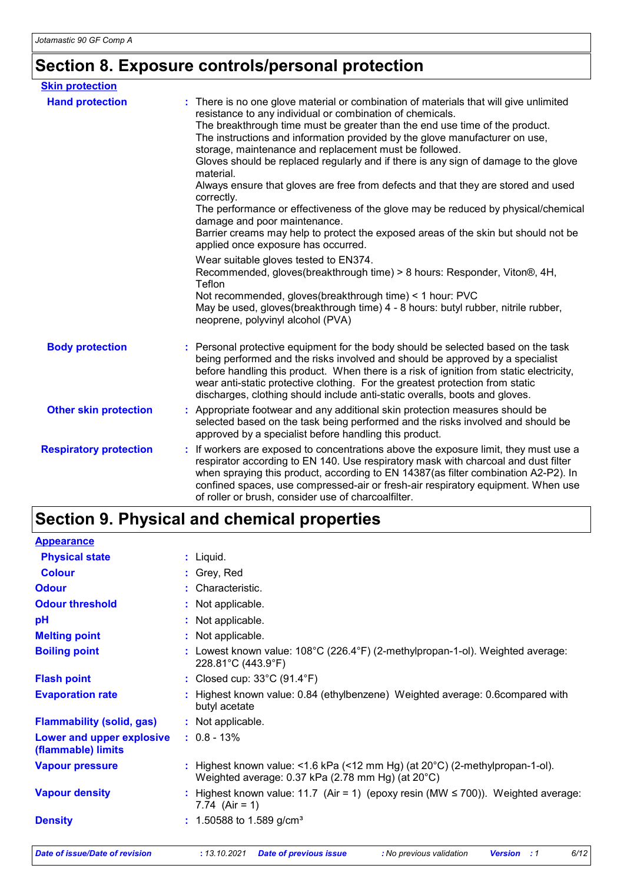# **Section 8. Exposure controls/personal protection**

| <b>Skin protection</b>        |                                                                                                                                                                                                                                                                                                                                                                                                                                                                                                                                                                                                                                                                                                                                                                                                                                                                                                                                                                                                                                                                                                                     |
|-------------------------------|---------------------------------------------------------------------------------------------------------------------------------------------------------------------------------------------------------------------------------------------------------------------------------------------------------------------------------------------------------------------------------------------------------------------------------------------------------------------------------------------------------------------------------------------------------------------------------------------------------------------------------------------------------------------------------------------------------------------------------------------------------------------------------------------------------------------------------------------------------------------------------------------------------------------------------------------------------------------------------------------------------------------------------------------------------------------------------------------------------------------|
| <b>Hand protection</b>        | : There is no one glove material or combination of materials that will give unlimited<br>resistance to any individual or combination of chemicals.<br>The breakthrough time must be greater than the end use time of the product.<br>The instructions and information provided by the glove manufacturer on use,<br>storage, maintenance and replacement must be followed.<br>Gloves should be replaced regularly and if there is any sign of damage to the glove<br>material.<br>Always ensure that gloves are free from defects and that they are stored and used<br>correctly.<br>The performance or effectiveness of the glove may be reduced by physical/chemical<br>damage and poor maintenance.<br>Barrier creams may help to protect the exposed areas of the skin but should not be<br>applied once exposure has occurred.<br>Wear suitable gloves tested to EN374.<br>Recommended, gloves(breakthrough time) > 8 hours: Responder, Viton®, 4H,<br>Teflon<br>Not recommended, gloves(breakthrough time) < 1 hour: PVC<br>May be used, gloves(breakthrough time) 4 - 8 hours: butyl rubber, nitrile rubber, |
|                               | neoprene, polyvinyl alcohol (PVA)                                                                                                                                                                                                                                                                                                                                                                                                                                                                                                                                                                                                                                                                                                                                                                                                                                                                                                                                                                                                                                                                                   |
| <b>Body protection</b>        | Personal protective equipment for the body should be selected based on the task<br>being performed and the risks involved and should be approved by a specialist<br>before handling this product. When there is a risk of ignition from static electricity,<br>wear anti-static protective clothing. For the greatest protection from static<br>discharges, clothing should include anti-static overalls, boots and gloves.                                                                                                                                                                                                                                                                                                                                                                                                                                                                                                                                                                                                                                                                                         |
| <b>Other skin protection</b>  | Appropriate footwear and any additional skin protection measures should be<br>selected based on the task being performed and the risks involved and should be<br>approved by a specialist before handling this product.                                                                                                                                                                                                                                                                                                                                                                                                                                                                                                                                                                                                                                                                                                                                                                                                                                                                                             |
| <b>Respiratory protection</b> | : If workers are exposed to concentrations above the exposure limit, they must use a<br>respirator according to EN 140. Use respiratory mask with charcoal and dust filter<br>when spraying this product, according to EN 14387(as filter combination A2-P2). In<br>confined spaces, use compressed-air or fresh-air respiratory equipment. When use<br>of roller or brush, consider use of charcoalfilter.                                                                                                                                                                                                                                                                                                                                                                                                                                                                                                                                                                                                                                                                                                         |

# **Section 9. Physical and chemical properties**

| <b>Appearance</b>                               |                                                                                                                                             |
|-------------------------------------------------|---------------------------------------------------------------------------------------------------------------------------------------------|
| <b>Physical state</b>                           | : Liquid.                                                                                                                                   |
| <b>Colour</b>                                   | : Grey, Red                                                                                                                                 |
| <b>Odour</b>                                    | : Characteristic.                                                                                                                           |
| <b>Odour threshold</b>                          | : Not applicable.                                                                                                                           |
| pH                                              | : Not applicable.                                                                                                                           |
| <b>Melting point</b>                            | : Not applicable.                                                                                                                           |
| <b>Boiling point</b>                            | : Lowest known value: $108^{\circ}$ C (226.4 $^{\circ}$ F) (2-methylpropan-1-ol). Weighted average:<br>228.81°C (443.9°F)                   |
| <b>Flash point</b>                              | : Closed cup: $33^{\circ}$ C (91.4 $^{\circ}$ F)                                                                                            |
| <b>Evaporation rate</b>                         | : Highest known value: 0.84 (ethylbenzene) Weighted average: 0.6compared with<br>butyl acetate                                              |
| <b>Flammability (solid, gas)</b>                | : Not applicable.                                                                                                                           |
| Lower and upper explosive<br>(flammable) limits | $: 0.8 - 13\%$                                                                                                                              |
| <b>Vapour pressure</b>                          | : Highest known value: <1.6 kPa (<12 mm Hg) (at $20^{\circ}$ C) (2-methylpropan-1-ol).<br>Weighted average: 0.37 kPa (2.78 mm Hg) (at 20°C) |
| <b>Vapour density</b>                           | : Highest known value: 11.7 (Air = 1) (epoxy resin (MW ≤ 700)). Weighted average:<br>7.74 $(Air = 1)$                                       |
| <b>Density</b>                                  | $: 1.50588$ to 1.589 g/cm <sup>3</sup>                                                                                                      |
|                                                 |                                                                                                                                             |

*Date of issue/Date of revision* **:** *13.10.2021 Date of previous issue : No previous validation Version : 1 6/12*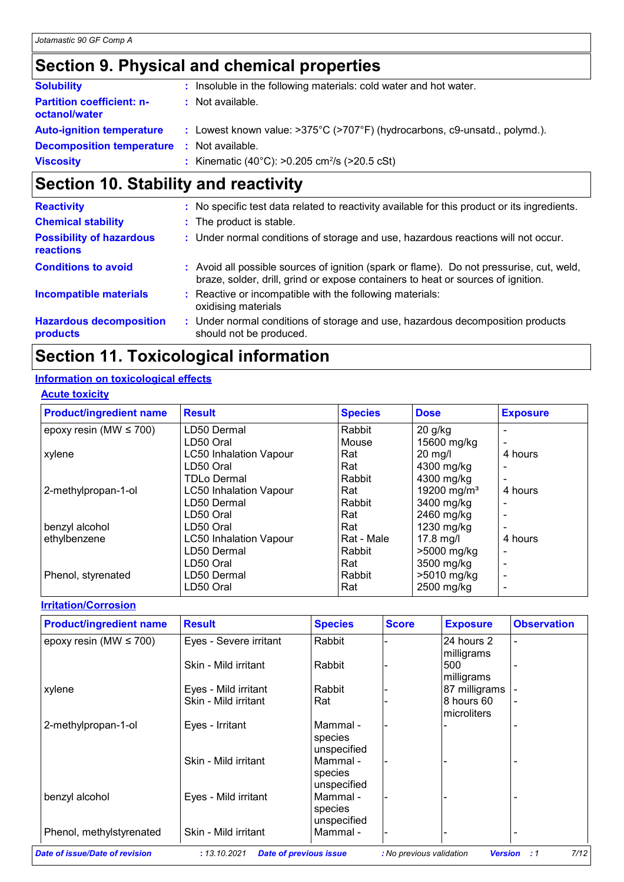# **Section 9. Physical and chemical properties**

| <b>Solubility</b>                                 | : Insoluble in the following materials: cold water and hot water.                              |
|---------------------------------------------------|------------------------------------------------------------------------------------------------|
| <b>Partition coefficient: n-</b><br>octanol/water | : Not available.                                                                               |
| <b>Auto-ignition temperature</b>                  | : Lowest known value: $>375^{\circ}C$ ( $>707^{\circ}F$ ) (hydrocarbons, c9-unsatd., polymd.). |
| <b>Decomposition temperature :</b> Not available. |                                                                                                |
| <b>Viscosity</b>                                  | : Kinematic (40°C): >0.205 cm <sup>2</sup> /s (>20.5 cSt)                                      |

# **Section 10. Stability and reactivity**

| <b>Reactivity</b>                            | : No specific test data related to reactivity available for this product or its ingredients.                                                                                 |
|----------------------------------------------|------------------------------------------------------------------------------------------------------------------------------------------------------------------------------|
| <b>Chemical stability</b>                    | : The product is stable.                                                                                                                                                     |
| <b>Possibility of hazardous</b><br>reactions | : Under normal conditions of storage and use, hazardous reactions will not occur.                                                                                            |
| <b>Conditions to avoid</b>                   | : Avoid all possible sources of ignition (spark or flame). Do not pressurise, cut, weld,<br>braze, solder, drill, grind or expose containers to heat or sources of ignition. |
| <b>Incompatible materials</b>                | : Reactive or incompatible with the following materials:<br>oxidising materials                                                                                              |
| <b>Hazardous decomposition</b><br>products   | : Under normal conditions of storage and use, hazardous decomposition products<br>should not be produced.                                                                    |

# **Section 11. Toxicological information**

#### **Information on toxicological effects**

| <b>Acute toxicity</b> |
|-----------------------|
|-----------------------|

| <b>Product/ingredient name</b> | <b>Result</b>                 | <b>Species</b> | <b>Dose</b>             | <b>Exposure</b> |
|--------------------------------|-------------------------------|----------------|-------------------------|-----------------|
| epoxy resin (MW $\leq$ 700)    | LD50 Dermal                   | Rabbit         | $20$ g/kg               |                 |
|                                | LD50 Oral                     | Mouse          | 15600 mg/kg             |                 |
| xylene                         | <b>LC50 Inhalation Vapour</b> | Rat            | $20$ mg/l               | 4 hours         |
|                                | LD50 Oral                     | Rat            | 4300 mg/kg              |                 |
|                                | <b>TDLo Dermal</b>            | Rabbit         | 4300 mg/kg              |                 |
| 2-methylpropan-1-ol            | <b>LC50 Inhalation Vapour</b> | Rat            | 19200 mg/m <sup>3</sup> | 4 hours         |
|                                | LD50 Dermal                   | Rabbit         | 3400 mg/kg              |                 |
|                                | LD50 Oral                     | Rat            | 2460 mg/kg              |                 |
| benzyl alcohol                 | LD50 Oral                     | Rat            | 1230 mg/kg              |                 |
| ethylbenzene                   | <b>LC50 Inhalation Vapour</b> | Rat - Male     | $17.8$ mg/l             | 4 hours         |
|                                | LD50 Dermal                   | Rabbit         | >5000 mg/kg             |                 |
|                                | LD50 Oral                     | Rat            | 3500 mg/kg              |                 |
| Phenol, styrenated             | LD50 Dermal                   | Rabbit         | >5010 mg/kg             |                 |
|                                | LD50 Oral                     | Rat            | 2500 mg/kg              |                 |

### **Irritation/Corrosion**

| <b>Product/ingredient name</b> | <b>Result</b>          | <b>Species</b>                     | <b>Score</b> | <b>Exposure</b>            | <b>Observation</b> |
|--------------------------------|------------------------|------------------------------------|--------------|----------------------------|--------------------|
| epoxy resin (MW $\leq$ 700)    | Eyes - Severe irritant | Rabbit                             |              | l24 hours 2<br>milligrams  |                    |
|                                | Skin - Mild irritant   | Rabbit                             |              | 500<br>milligrams          |                    |
| xylene                         | Eyes - Mild irritant   | Rabbit                             |              | 87 milligrams              |                    |
|                                | Skin - Mild irritant   | Rat                                |              | 8 hours 60<br>Imicroliters |                    |
| 2-methylpropan-1-ol            | Eyes - Irritant        | Mammal -<br>species<br>unspecified |              |                            |                    |
|                                | Skin - Mild irritant   | Mammal -<br>species<br>unspecified |              |                            |                    |
| benzyl alcohol                 | Eyes - Mild irritant   | Mammal -<br>species<br>unspecified |              |                            |                    |
| Phenol, methylstyrenated       | Skin - Mild irritant   | Mammal -                           |              |                            |                    |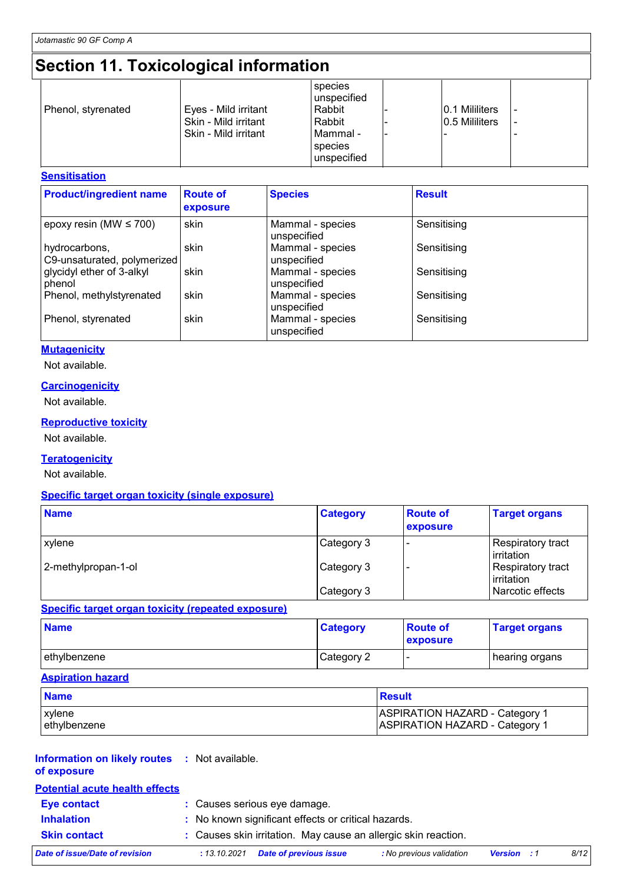# **Section 11. Toxicological information**

| Eyes - Mild irritant<br>Phenol, styrenated<br>Skin - Mild irritant<br>Skin - Mild irritant | species<br>unspecified<br>Rabbit<br>Rabbit<br>l Mammal -<br>species<br>unspecified | 0.1 Mililiters<br>0.5 Mililiters |  |
|--------------------------------------------------------------------------------------------|------------------------------------------------------------------------------------|----------------------------------|--|
|--------------------------------------------------------------------------------------------|------------------------------------------------------------------------------------|----------------------------------|--|

#### **Sensitisation**

| <b>Product/ingredient name</b>               | <b>Route of</b><br>exposure | <b>Species</b>                  | <b>Result</b> |
|----------------------------------------------|-----------------------------|---------------------------------|---------------|
| epoxy resin (MW $\leq$ 700)                  | skin                        | Mammal - species<br>unspecified | Sensitising   |
| hydrocarbons,<br>C9-unsaturated, polymerized | skin                        | Mammal - species<br>unspecified | Sensitising   |
| glycidyl ether of 3-alkyl<br>phenol          | skin                        | Mammal - species<br>unspecified | Sensitising   |
| Phenol, methylstyrenated                     | skin                        | Mammal - species<br>unspecified | Sensitising   |
| Phenol, styrenated                           | skin                        | Mammal - species<br>unspecified | Sensitising   |

#### **Mutagenicity**

Not available.

#### **Carcinogenicity**

Not available.

#### **Reproductive toxicity**

Not available.

#### **Teratogenicity**

Not available.

#### **Specific target organ toxicity (single exposure)**

| <b>Name</b>         | <b>Category</b> | <b>Route of</b><br>exposure | <b>Target organs</b>            |
|---------------------|-----------------|-----------------------------|---------------------------------|
| xylene              | Category 3      |                             | Respiratory tract<br>Irritation |
| 2-methylpropan-1-ol | Category 3      |                             | Respiratory tract<br>Irritation |
|                     | Category 3      |                             | Narcotic effects                |

#### **Specific target organ toxicity (repeated exposure)**

| <b>Name</b>   | <b>Category</b> | <b>Route of</b><br>exposure | <b>Target organs</b> |
|---------------|-----------------|-----------------------------|----------------------|
| lethvlbenzene | Category 2      |                             | ∣hearing organs      |

#### **Aspiration hazard**

| <b>Name</b>   | Result                                |
|---------------|---------------------------------------|
| <b>xylene</b> | <b>ASPIRATION HAZARD - Category 1</b> |
| lethylbenzene | <b>ASPIRATION HAZARD - Category 1</b> |

#### **Information on likely routes :** Not available. **of exposure**

| <b>Potential acute health effects</b> |                                                                |                          |                    |      |
|---------------------------------------|----------------------------------------------------------------|--------------------------|--------------------|------|
| <b>Eye contact</b>                    | : Causes serious eye damage.                                   |                          |                    |      |
| <b>Inhalation</b>                     | : No known significant effects or critical hazards.            |                          |                    |      |
| <b>Skin contact</b>                   | : Causes skin irritation. May cause an allergic skin reaction. |                          |                    |      |
| Date of issue/Date of revision        | Date of previous issue<br>: 13.10.2021                         | : No previous validation | <b>Version</b> : 1 | 8/12 |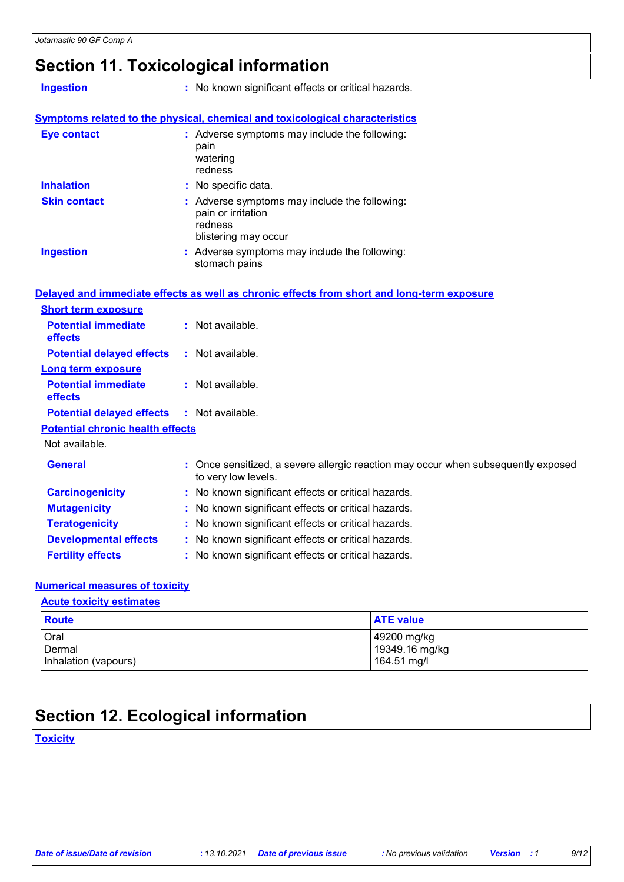### **Section 11. Toxicological information**

**Ingestion :** No known significant effects or critical hazards.

#### **Symptoms related to the physical, chemical and toxicological characteristics**

| <b>Eye contact</b>  | : Adverse symptoms may include the following:<br>pain<br>watering<br>redness                           |
|---------------------|--------------------------------------------------------------------------------------------------------|
| <b>Inhalation</b>   | : No specific data.                                                                                    |
| <b>Skin contact</b> | : Adverse symptoms may include the following:<br>pain or irritation<br>redness<br>blistering may occur |
| <b>Ingestion</b>    | : Adverse symptoms may include the following:<br>stomach pains                                         |

|                                                   | Delayed and immediate effects as well as chronic effects from short and long-term exposure               |
|---------------------------------------------------|----------------------------------------------------------------------------------------------------------|
| <b>Short term exposure</b>                        |                                                                                                          |
| <b>Potential immediate</b><br><b>effects</b>      | : Not available.                                                                                         |
| <b>Potential delayed effects</b>                  | : Not available.                                                                                         |
| <b>Long term exposure</b>                         |                                                                                                          |
| <b>Potential immediate</b><br><b>effects</b>      | $:$ Not available.                                                                                       |
| <b>Potential delayed effects : Not available.</b> |                                                                                                          |
| <b>Potential chronic health effects</b>           |                                                                                                          |
| Not available.                                    |                                                                                                          |
| <b>General</b>                                    | : Once sensitized, a severe allergic reaction may occur when subsequently exposed<br>to very low levels. |
| <b>Carcinogenicity</b>                            | : No known significant effects or critical hazards.                                                      |
| <b>Mutagenicity</b>                               | : No known significant effects or critical hazards.                                                      |
| <b>Teratogenicity</b>                             | : No known significant effects or critical hazards.                                                      |
| <b>Developmental effects</b>                      | : No known significant effects or critical hazards.                                                      |
| <b>Fertility effects</b>                          | : No known significant effects or critical hazards.                                                      |

#### **Numerical measures of toxicity**

#### **Acute toxicity estimates**

| <b>Route</b>         | <b>ATE value</b> |
|----------------------|------------------|
| Oral                 | 49200 mg/kg      |
| Dermal               | 19349.16 mg/kg   |
| Inhalation (vapours) | 164.51 mg/l      |

# **Section 12. Ecological information**

#### **Toxicity**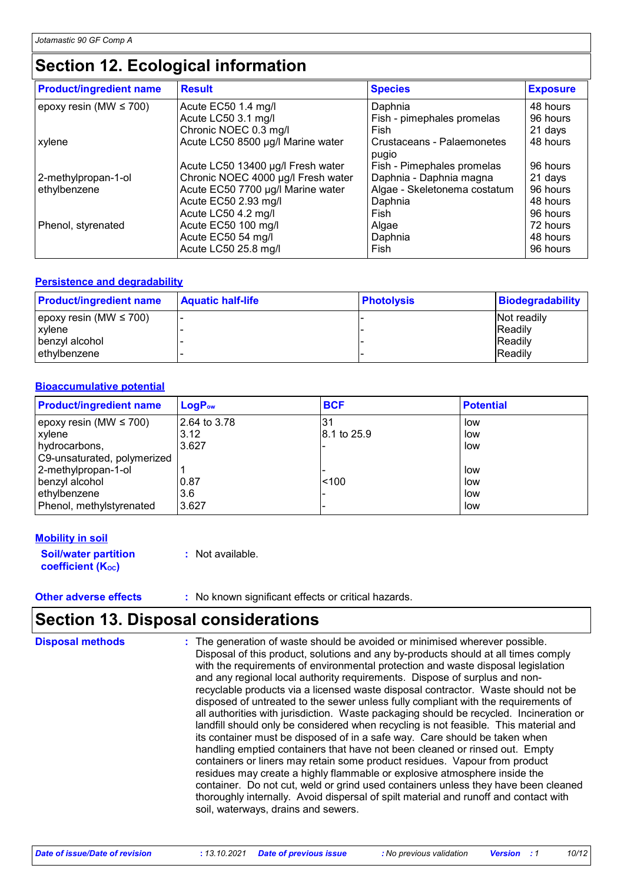### **Section 12. Ecological information**

| <b>Product/ingredient name</b> | <b>Result</b>                      | <b>Species</b>                      | <b>Exposure</b> |
|--------------------------------|------------------------------------|-------------------------------------|-----------------|
| epoxy resin (MW $\leq$ 700)    | Acute EC50 1.4 mg/l                | Daphnia                             | 48 hours        |
|                                | Acute LC50 3.1 mg/l                | Fish - pimephales promelas          | 96 hours        |
|                                | Chronic NOEC 0.3 mg/l              | Fish                                | 21 days         |
| xylene                         | Acute LC50 8500 µg/l Marine water  | Crustaceans - Palaemonetes<br>pugio | 48 hours        |
|                                | Acute LC50 13400 µg/l Fresh water  | Fish - Pimephales promelas          | 96 hours        |
| 2-methylpropan-1-ol            | Chronic NOEC 4000 µg/l Fresh water | Daphnia - Daphnia magna             | 21 days         |
| ethylbenzene                   | Acute EC50 7700 µg/l Marine water  | Algae - Skeletonema costatum        | 96 hours        |
|                                | Acute EC50 2.93 mg/l               | Daphnia                             | 48 hours        |
|                                | Acute LC50 4.2 mg/l                | Fish                                | 96 hours        |
| Phenol, styrenated             | Acute EC50 100 mg/l                | Algae                               | 72 hours        |
|                                | Acute EC50 54 mg/l                 | Daphnia                             | 48 hours        |
|                                | Acute LC50 25.8 mg/l               | Fish                                | 96 hours        |

#### **Persistence and degradability**

| <b>Product/ingredient name</b> | <b>Aquatic half-life</b> | <b>Photolysis</b> | <b>Biodegradability</b> |
|--------------------------------|--------------------------|-------------------|-------------------------|
| epoxy resin (MW $\leq 700$ )   |                          |                   | Not readily             |
| xylene                         |                          |                   | <b>Readily</b>          |
| benzyl alcohol                 |                          |                   | <b>Readily</b>          |
| ethylbenzene                   |                          |                   | <b>IReadily</b>         |

#### **Bioaccumulative potential**

| <b>Product/ingredient name</b> | <b>LogPow</b> | <b>BCF</b>  | <b>Potential</b> |
|--------------------------------|---------------|-------------|------------------|
| epoxy resin (MW $\leq$ 700)    | 2.64 to 3.78  | .31         | low              |
| <b>xylene</b>                  | 3.12          | 8.1 to 25.9 | low              |
| hydrocarbons,                  | 3.627         |             | low              |
| C9-unsaturated, polymerized    |               |             |                  |
| 2-methylpropan-1-ol            |               |             | low              |
| benzyl alcohol                 | 0.87          | < 100       | low              |
| ethylbenzene                   | 3.6           |             | low              |
| Phenol, methylstyrenated       | 3.627         |             | low              |

#### **Mobility in soil**

**Soil/water partition coefficient (KOC) :** Not available.

**Other adverse effects** : No known significant effects or critical hazards.

### **Section 13. Disposal considerations**

The generation of waste should be avoided or minimised wherever possible. Disposal of this product, solutions and any by-products should at all times comply with the requirements of environmental protection and waste disposal legislation and any regional local authority requirements. Dispose of surplus and nonrecyclable products via a licensed waste disposal contractor. Waste should not be disposed of untreated to the sewer unless fully compliant with the requirements of all authorities with jurisdiction. Waste packaging should be recycled. Incineration or landfill should only be considered when recycling is not feasible. This material and its container must be disposed of in a safe way. Care should be taken when handling emptied containers that have not been cleaned or rinsed out. Empty containers or liners may retain some product residues. Vapour from product residues may create a highly flammable or explosive atmosphere inside the container. Do not cut, weld or grind used containers unless they have been cleaned thoroughly internally. Avoid dispersal of spilt material and runoff and contact with soil, waterways, drains and sewers. **Disposal methods :**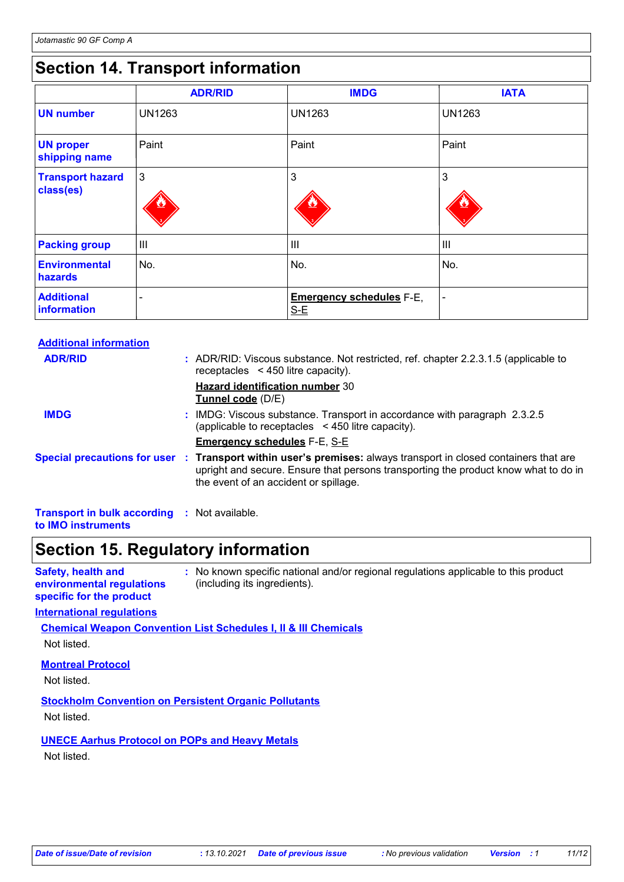# **Section 14. Transport information**

|                                      | <b>ADR/RID</b> | <b>IMDG</b>                              | <b>IATA</b>    |
|--------------------------------------|----------------|------------------------------------------|----------------|
| <b>UN number</b>                     | <b>UN1263</b>  | <b>UN1263</b>                            | <b>UN1263</b>  |
| <b>UN proper</b><br>shipping name    | Paint          | Paint                                    | Paint          |
| <b>Transport hazard</b><br>class(es) | $\mathbf{3}$   | 3                                        | 3              |
| <b>Packing group</b>                 | Ш              | III                                      | $\mathbf{III}$ |
| <b>Environmental</b><br>hazards      | No.            | No.                                      | No.            |
| <b>Additional</b><br>information     | -              | <b>Emergency schedules F-E,</b><br>$S-E$ | $\blacksquare$ |

| <b>Additional information</b>                                             |                                                                                                                                                                                                                                                 |
|---------------------------------------------------------------------------|-------------------------------------------------------------------------------------------------------------------------------------------------------------------------------------------------------------------------------------------------|
| <b>ADR/RID</b>                                                            | : ADR/RID: Viscous substance. Not restricted, ref. chapter 2.2.3.1.5 (applicable to<br>receptacles $\leq$ 450 litre capacity).                                                                                                                  |
|                                                                           | <b>Hazard identification number 30</b><br>Tunnel code (D/E)                                                                                                                                                                                     |
| <b>IMDG</b>                                                               | : IMDG: Viscous substance. Transport in accordance with paragraph 2.3.2.5<br>(applicable to receptacles $\leq$ 450 litre capacity).                                                                                                             |
|                                                                           | <b>Emergency schedules F-E, S-E</b>                                                                                                                                                                                                             |
|                                                                           | Special precautions for user : Transport within user's premises: always transport in closed containers that are<br>upright and secure. Ensure that persons transporting the product know what to do in<br>the event of an accident or spillage. |
| <b>Transport in bulk according : Not available.</b><br>to IMO instruments |                                                                                                                                                                                                                                                 |

### **Section 15. Regulatory information**

| <b>Safety, health and</b> | No known specific national and/or regional regulations applicable to this product |
|---------------------------|-----------------------------------------------------------------------------------|
| environmental regulations | (including its ingredients).                                                      |
| specific for the product  |                                                                                   |

#### **International regulations**

**Chemical Weapon Convention List Schedules I, II & III Chemicals**

Not listed.

#### **Montreal Protocol**

Not listed.

**Stockholm Convention on Persistent Organic Pollutants** Not listed.

**UNECE Aarhus Protocol on POPs and Heavy Metals**

Not listed.